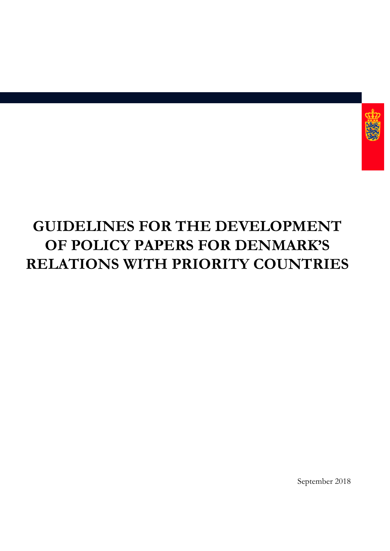

# **GUIDELINES FOR THE DEVELOPMENT OF POLICY PAPERS FOR DENMARK'S RELATIONS WITH PRIORITY COUNTRIES**

September 2018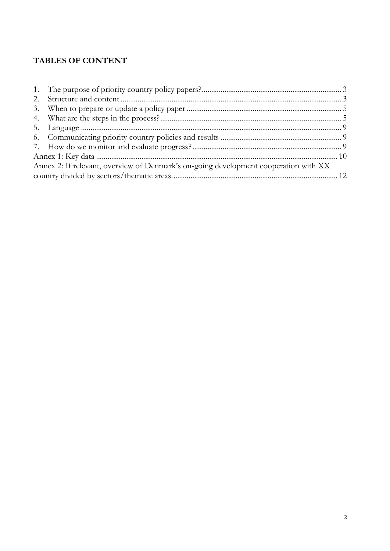# **TABLES OF CONTENT**

| Annex 2: If relevant, overview of Denmark's on-going development cooperation with XX |  |  |  |  |
|--------------------------------------------------------------------------------------|--|--|--|--|
|                                                                                      |  |  |  |  |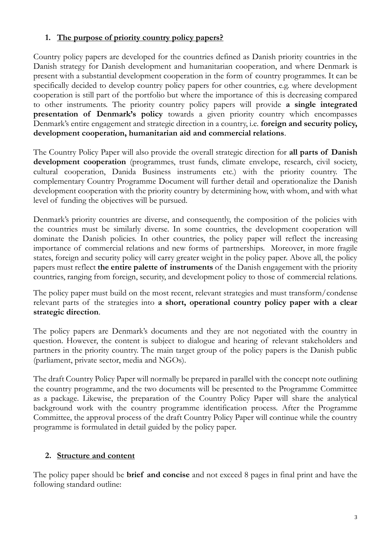## <span id="page-2-0"></span>**1. The purpose of priority country policy papers?**

Country policy papers are developed for the countries defined as Danish priority countries in the Danish strategy for Danish development and humanitarian cooperation, and where Denmark is present with a substantial development cooperation in the form of country programmes. It can be specifically decided to develop country policy papers for other countries, e.g. where development cooperation is still part of the portfolio but where the importance of this is decreasing compared to other instruments. The priority country policy papers will provide **a single integrated presentation of Denmark's policy** towards a given priority country which encompasses Denmark's entire engagement and strategic direction in a country, i.e. **foreign and security policy, development cooperation, humanitarian aid and commercial relations**.

The Country Policy Paper will also provide the overall strategic direction for **all parts of Danish development cooperation** (programmes, trust funds, climate envelope, research, civil society, cultural cooperation, Danida Business instruments etc.) with the priority country. The complementary Country Programme Document will further detail and operationalize the Danish development cooperation with the priority country by determining how, with whom, and with what level of funding the objectives will be pursued.

Denmark's priority countries are diverse, and consequently, the composition of the policies with the countries must be similarly diverse. In some countries, the development cooperation will dominate the Danish policies. In other countries, the policy paper will reflect the increasing importance of commercial relations and new forms of partnerships. Moreover, in more fragile states, foreign and security policy will carry greater weight in the policy paper. Above all, the policy papers must reflect **the entire palette of instruments** of the Danish engagement with the priority countries, ranging from foreign, security, and development policy to those of commercial relations.

The policy paper must build on the most recent, relevant strategies and must transform/condense relevant parts of the strategies into **a short, operational country policy paper with a clear strategic direction**.

The policy papers are Denmark's documents and they are not negotiated with the country in question. However, the content is subject to dialogue and hearing of relevant stakeholders and partners in the priority country. The main target group of the policy papers is the Danish public (parliament, private sector, media and NGOs).

The draft Country Policy Paper will normally be prepared in parallel with the concept note outlining the country programme, and the two documents will be presented to the Programme Committee as a package. Likewise, the preparation of the Country Policy Paper will share the analytical background work with the country programme identification process. After the Programme Committee, the approval process of the draft Country Policy Paper will continue while the country programme is formulated in detail guided by the policy paper.

# <span id="page-2-1"></span>**2. Structure and content**

The policy paper should be **brief and concise** and not exceed 8 pages in final print and have the following standard outline: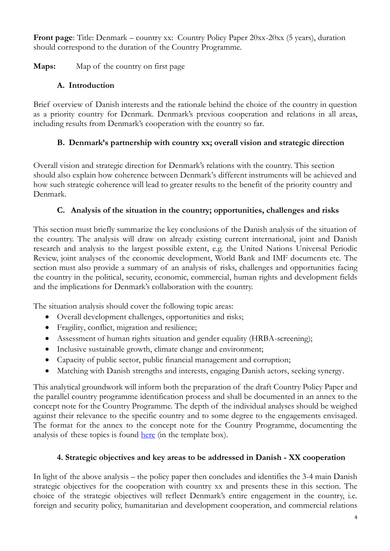**Front page**: Title: Denmark – country xx: Country Policy Paper 20xx-20xx (5 years), duration should correspond to the duration of the Country Programme.

**Maps:** Map of the country on first page

# **A. Introduction**

Brief overview of Danish interests and the rationale behind the choice of the country in question as a priority country for Denmark. Denmark's previous cooperation and relations in all areas, including results from Denmark's cooperation with the country so far.

# **B. Denmark's partnership with country xx; overall vision and strategic direction**

Overall vision and strategic direction for Denmark's relations with the country. This section should also explain how coherence between Denmark's different instruments will be achieved and how such strategic coherence will lead to greater results to the benefit of the priority country and Denmark.

# **C. Analysis of the situation in the country; opportunities, challenges and risks**

This section must briefly summarize the key conclusions of the Danish analysis of the situation of the country. The analysis will draw on already existing current international, joint and Danish research and analysis to the largest possible extent, e.g. the United Nations Universal Periodic Review, joint analyses of the economic development, World Bank and IMF documents etc. The section must also provide a summary of an analysis of risks, challenges and opportunities facing the country in the political, security, economic, commercial, human rights and development fields and the implications for Denmark's collaboration with the country.

The situation analysis should cover the following topic areas:

- Overall development challenges, opportunities and risks;
- Fragility, conflict, migration and resilience;
- Assessment of human rights situation and gender equality (HRBA-screening);
- Inclusive sustainable growth, climate change and environment;
- Capacity of public sector, public financial management and corruption;
- Matching with Danish strengths and interests, engaging Danish actors, seeking synergy.

This analytical groundwork will inform both the preparation of the draft Country Policy Paper and the parallel country programme identification process and shall be documented in an annex to the concept note for the Country Programme. The depth of the individual analyses should be weighed against their relevance to the specific country and to some degree to the engagements envisaged. The format for the annex to the concept note for the Country Programme, documenting the analysis of these topics is found [here](http://amg.um.dk/en/programmes-and-projects/january-2018-guidelines-for-programmes-and-projects/) (in the template box).

# **4. Strategic objectives and key areas to be addressed in Danish - XX cooperation**

In light of the above analysis – the policy paper then concludes and identifies the 3-4 main Danish strategic objectives for the cooperation with country xx and presents these in this section. The choice of the strategic objectives will reflect Denmark's entire engagement in the country, i.e. foreign and security policy, humanitarian and development cooperation, and commercial relations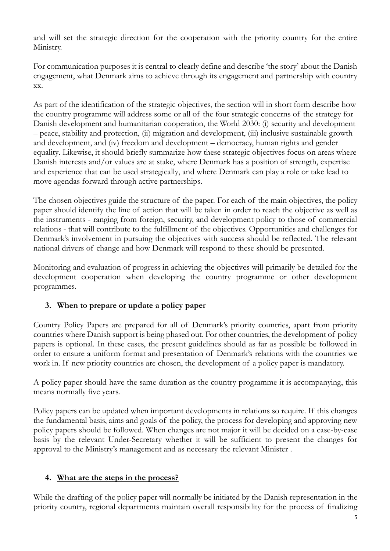and will set the strategic direction for the cooperation with the priority country for the entire Ministry.

For communication purposes it is central to clearly define and describe 'the story' about the Danish engagement, what Denmark aims to achieve through its engagement and partnership with country xx.

As part of the identification of the strategic objectives, the section will in short form describe how the country programme will address some or all of the four strategic concerns of the strategy for Danish development and humanitarian cooperation, the World 2030: (i) security and development – peace, stability and protection, (ii) migration and development, (iii) inclusive sustainable growth and development, and (iv) freedom and development – democracy, human rights and gender equality. Likewise, it should briefly summarize how these strategic objectives focus on areas where Danish interests and/or values are at stake, where Denmark has a position of strength, expertise and experience that can be used strategically, and where Denmark can play a role or take lead to move agendas forward through active partnerships.

The chosen objectives guide the structure of the paper. For each of the main objectives, the policy paper should identify the line of action that will be taken in order to reach the objective as well as the instruments - ranging from foreign, security, and development policy to those of commercial relations - that will contribute to the fulfillment of the objectives. Opportunities and challenges for Denmark's involvement in pursuing the objectives with success should be reflected. The relevant national drivers of change and how Denmark will respond to these should be presented.

Monitoring and evaluation of progress in achieving the objectives will primarily be detailed for the development cooperation when developing the country programme or other development programmes.

# <span id="page-4-0"></span>**3. When to prepare or update a policy paper**

Country Policy Papers are prepared for all of Denmark's priority countries, apart from priority countries where Danish support is being phased out. For other countries, the development of policy papers is optional. In these cases, the present guidelines should as far as possible be followed in order to ensure a uniform format and presentation of Denmark's relations with the countries we work in. If new priority countries are chosen, the development of a policy paper is mandatory.

A policy paper should have the same duration as the country programme it is accompanying, this means normally five years.

Policy papers can be updated when important developments in relations so require. If this changes the fundamental basis, aims and goals of the policy, the process for developing and approving new policy papers should be followed. When changes are not major it will be decided on a case-by-case basis by the relevant Under-Secretary whether it will be sufficient to present the changes for approval to the Ministry's management and as necessary the relevant Minister .

# <span id="page-4-1"></span>**4. What are the steps in the process?**

While the drafting of the policy paper will normally be initiated by the Danish representation in the priority country, regional departments maintain overall responsibility for the process of finalizing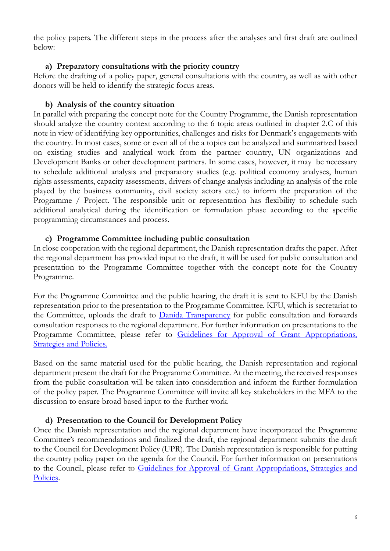the policy papers. The different steps in the process after the analyses and first draft are outlined below:

#### **a) Preparatory consultations with the priority country**

Before the drafting of a policy paper, general consultations with the country, as well as with other donors will be held to identify the strategic focus areas.

#### **b) Analysis of the country situation**

In parallel with preparing the concept note for the Country Programme, the Danish representation should analyze the country context according to the 6 topic areas outlined in chapter 2.C of this note in view of identifying key opportunities, challenges and risks for Denmark's engagements with the country. In most cases, some or even all of the a topics can be analyzed and summarized based on existing studies and analytical work from the partner country, UN organizations and Development Banks or other development partners. In some cases, however, it may be necessary to schedule additional analysis and preparatory studies (e.g. political economy analyses, human rights assessments, capacity assessments, drivers of change analysis including an analysis of the role played by the business community, civil society actors etc.) to inform the preparation of the Programme / Project. The responsible unit or representation has flexibility to schedule such additional analytical during the identification or formulation phase according to the specific programming circumstances and process.

#### **c) Programme Committee including public consultation**

In close cooperation with the regional department, the Danish representation drafts the paper. After the regional department has provided input to the draft, it will be used for public consultation and presentation to the Programme Committee together with the concept note for the Country Programme.

For the Programme Committee and the public hearing, the draft it is sent to KFU by the Danish representation prior to the presentation to the Programme Committee. KFU, which is secretariat to the Committee, uploads the draft to **Danida Transparency** for public consultation and forwards consultation responses to the regional department. For further information on presentations to the Programme Committee, please refer to Guidelines for Approval of Grant Appropriations, [Strategies and Policies.](http://amg.um.dk/en/tools/guidelines-for-approval-of-grants-and-strategies-and-policies/)

Based on the same material used for the public hearing, the Danish representation and regional department present the draft for the Programme Committee. At the meeting, the received responses from the public consultation will be taken into consideration and inform the further formulation of the policy paper. The Programme Committee will invite all key stakeholders in the MFA to the discussion to ensure broad based input to the further work.

#### **d) Presentation to the Council for Development Policy**

Once the Danish representation and the regional department have incorporated the Programme Committee's recommendations and finalized the draft, the regional department submits the draft to the Council for Development Policy (UPR). The Danish representation is responsible for putting the country policy paper on the agenda for the Council. For further information on presentations to the Council, please refer to [Guidelines for Approval of Grant Appropriations, Strategies and](http://amg.um.dk/en/tools/guidelines-for-approval-of-grants-and-strategies-and-policies/)  [Policies.](http://amg.um.dk/en/tools/guidelines-for-approval-of-grants-and-strategies-and-policies/)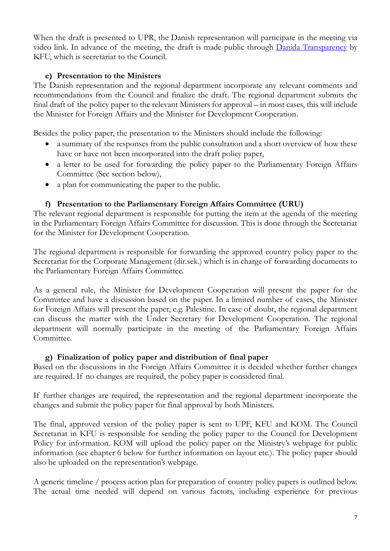When the draft is presented to UPR, the Danish representation will participate in the meeting via video link. In advance of the meeting, the draft is made public through [Danida Transparency](http://um.dk/en/danida-en/about-danida/Danida-transparency/Danida-documents/Council-for-development-policy/upcoming-council-meetings/270516) by KFU, which is secretariat to the Council.

#### **e) Presentation to the Ministers**

The Danish representation and the regional department incorporate any relevant comments and recommendations from the Council and finalize the draft. The regional department submits the final draft of the policy paper to the relevant Ministers for approval – in most cases, this will include the Minister for Foreign Affairs and the Minister for Development Cooperation.

Besides the policy paper, the presentation to the Ministers should include the following:

- a summary of the responses from the public consultation and a short overview of how these have or have not been incorporated into the draft policy paper,
- a letter to be used for forwarding the policy paper to the Parliamentary Foreign Affairs Committee (See section below),
- a plan for communicating the paper to the public.

## **f) Presentation to the Parliamentary Foreign Affairs Committee (URU)**

The relevant regional department is responsible for putting the item at the agenda of the meeting in the Parliamentary Foreign Affairs Committee for discussion. This is done through the Secretariat for the Minister for Development Cooperation.

The regional department is responsible for forwarding the approved country policy paper to the Secretariat for the Corporate Management (dir.sek.) which is in charge of forwarding documents to the Parliamentary Foreign Affairs Committee.

As a general rule, the Minister for Development Cooperation will present the paper for the Committee and have a discussion based on the paper. In a limited number of cases, the Minister for Foreign Affairs will present the paper, e.g. Palestine. In case of doubt, the regional department can discuss the matter with the Under Secretary for Development Cooperation. The regional department will normally participate in the meeting of the Parliamentary Foreign Affairs Committee.

#### **g) Finalization of policy paper and distribution of final paper**

Based on the discussions in the Foreign Affairs Committee it is decided whether further changes are required. If no changes are required, the policy paper is considered final.

If further changes are required, the representation and the regional department incorporate the changes and submit the policy paper for final approval by both Ministers.

The final, approved version of the policy paper is sent to UPF, KFU and KOM. The Council Secretariat in KFU is responsible for sending the policy paper to the Council for Development Policy for information. KOM will upload the policy paper on the Ministry's webpage for public information (see chapter 6 below for further information on layout etc.). The policy paper should also be uploaded on the representation's webpage.

A generic timeline / process action plan for preparation of country policy papers is outlined below. The actual time needed will depend on various factors, including experience for previous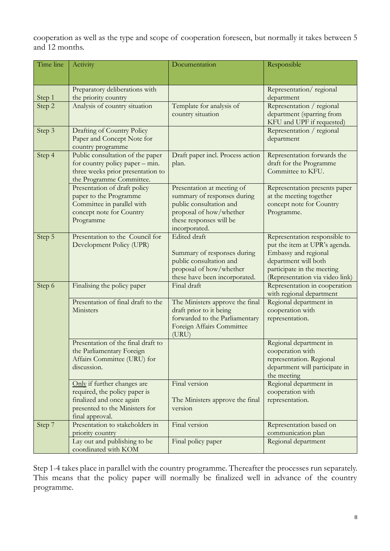cooperation as well as the type and scope of cooperation foreseen, but normally it takes between 5 and 12 months.

| Time line | Activity                                                                                                                                      | Documentation                                                                                                                                               | Responsible                                                                                                                                                                     |
|-----------|-----------------------------------------------------------------------------------------------------------------------------------------------|-------------------------------------------------------------------------------------------------------------------------------------------------------------|---------------------------------------------------------------------------------------------------------------------------------------------------------------------------------|
|           |                                                                                                                                               |                                                                                                                                                             |                                                                                                                                                                                 |
|           | Preparatory deliberations with                                                                                                                |                                                                                                                                                             | Representation/regional                                                                                                                                                         |
| Step 1    | the priority country                                                                                                                          |                                                                                                                                                             | department                                                                                                                                                                      |
| Step 2    | Analysis of country situation                                                                                                                 | Template for analysis of<br>country situation                                                                                                               | Representation / regional<br>department (sparring from<br>KFU and UPF if requested)                                                                                             |
| Step 3    | Drafting of Country Policy<br>Paper and Concept Note for<br>country programme                                                                 |                                                                                                                                                             | Representation / regional<br>department                                                                                                                                         |
| Step 4    | Public consultation of the paper<br>for country policy paper – min.<br>three weeks prior presentation to<br>the Programme Committee.          | Draft paper incl. Process action<br>plan.                                                                                                                   | Representation forwards the<br>draft for the Programme<br>Committee to KFU.                                                                                                     |
|           | Presentation of draft policy<br>paper to the Programme<br>Committee in parallel with<br>concept note for Country<br>Programme                 | Presentation at meeting of<br>summary of responses during<br>public consultation and<br>proposal of how/whether<br>these responses will be<br>incorporated. | Representation presents paper<br>at the meeting together<br>concept note for Country<br>Programme.                                                                              |
| Step 5    | Presentation to the Council for<br>Development Policy (UPR)                                                                                   | Edited draft<br>Summary of responses during<br>public consultation and<br>proposal of how/whether<br>these have been incorporated.                          | Representation responsible to<br>put the item at UPR's agenda.<br>Embassy and regional<br>department will both<br>participate in the meeting<br>(Representation via video link) |
| Step 6    | Finalising the policy paper                                                                                                                   | Final draft                                                                                                                                                 | Representation in cooperation<br>with regional department                                                                                                                       |
|           | Presentation of final draft to the<br>Ministers                                                                                               | The Ministers approve the final<br>draft prior to it being<br>forwarded to the Parliamentary<br>Foreign Affairs Committee<br>(URU)                          | Regional department in<br>cooperation with<br>representation.                                                                                                                   |
|           | Presentation of the final draft to<br>the Parliamentary Foreign<br>Affairs Committee (URU) for<br>discussion.                                 |                                                                                                                                                             | Regional department in<br>cooperation with<br>representation. Regional<br>department will participate in<br>the meeting                                                         |
|           | Only if further changes are<br>required, the policy paper is<br>finalized and once again<br>presented to the Ministers for<br>final approval. | Final version<br>The Ministers approve the final<br>version                                                                                                 | Regional department in<br>cooperation with<br>representation.                                                                                                                   |
| Step 7    | Presentation to stakeholders in<br>priority country                                                                                           | Final version                                                                                                                                               | Representation based on<br>communication plan                                                                                                                                   |
|           | Lay out and publishing to be<br>coordinated with KOM                                                                                          | Final policy paper                                                                                                                                          | Regional department                                                                                                                                                             |

Step 1-4 takes place in parallel with the country programme. Thereafter the processes run separately. This means that the policy paper will normally be finalized well in advance of the country programme.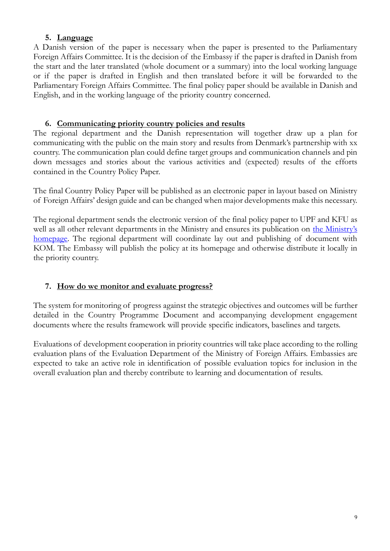### **5. Language**

<span id="page-8-0"></span>A Danish version of the paper is necessary when the paper is presented to the Parliamentary Foreign Affairs Committee. It is the decision of the Embassy if the paper is drafted in Danish from the start and the later translated (whole document or a summary) into the local working language or if the paper is drafted in English and then translated before it will be forwarded to the Parliamentary Foreign Affairs Committee. The final policy paper should be available in Danish and English, and in the working language of the priority country concerned.

#### **6. Communicating priority country policies and results**

<span id="page-8-1"></span>The regional department and the Danish representation will together draw up a plan for communicating with the public on the main story and results from Denmark's partnership with xx country. The communication plan could define target groups and communication channels and pin down messages and stories about the various activities and (expected) results of the efforts contained in the Country Policy Paper.

The final Country Policy Paper will be published as an electronic paper in layout based on Ministry of Foreign Affairs' design guide and can be changed when major developments make this necessary.

The regional department sends the electronic version of the final policy paper to UPF and KFU as well as all other relevant departments in the Ministry and ensures its publication on the Ministry's [homepage.](http://um.dk/da/danida/lande-og-regioner/landepolitikker/) The regional department will coordinate lay out and publishing of document with KOM. The Embassy will publish the policy at its homepage and otherwise distribute it locally in the priority country.

#### <span id="page-8-2"></span>**7. How do we monitor and evaluate progress?**

The system for monitoring of progress against the strategic objectives and outcomes will be further detailed in the Country Programme Document and accompanying development engagement documents where the results framework will provide specific indicators, baselines and targets.

Evaluations of development cooperation in priority countries will take place according to the rolling evaluation plans of the Evaluation Department of the Ministry of Foreign Affairs. Embassies are expected to take an active role in identification of possible evaluation topics for inclusion in the overall evaluation plan and thereby contribute to learning and documentation of results.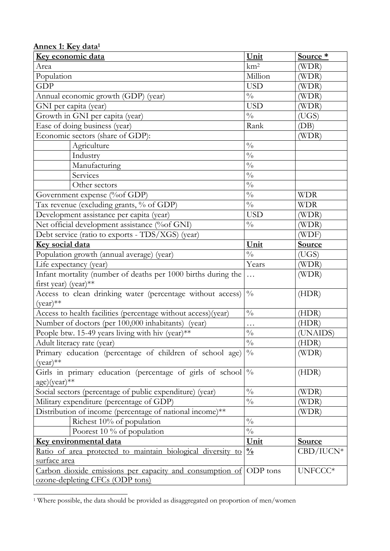<span id="page-9-0"></span>

| <u> Annex 1: Key data<sup>1</sup></u>                             |                           |               |
|-------------------------------------------------------------------|---------------------------|---------------|
| Key economic data                                                 | Unit                      | Source *      |
| Area                                                              | km <sup>2</sup>           | (WDR)         |
| Population                                                        | Million                   | (WDR)         |
| <b>GDP</b>                                                        | <b>USD</b>                | (WDR)         |
| Annual economic growth (GDP) (year)                               | $\frac{0}{0}$             | (WDR)         |
| GNI per capita (year)                                             | <b>USD</b>                | (WDR)         |
| Growth in GNI per capita (year)                                   | $\frac{0}{0}$             | (UGS)         |
| Ease of doing business (year)                                     | Rank                      | (DB)          |
| Economic sectors (share of GDP):                                  |                           | (WDR)         |
| Agriculture                                                       | $\frac{0}{0}$             |               |
| Industry                                                          | $\frac{0}{0}$             |               |
| Manufacturing                                                     | $\frac{0}{0}$             |               |
| Services                                                          | $\frac{0}{0}$             |               |
| Other sectors                                                     | $\frac{0}{0}$             |               |
| Government expense (%of GDP)                                      | $\frac{0}{0}$             | <b>WDR</b>    |
| Tax revenue (excluding grants, % of GDP)                          | $\frac{0}{0}$             | <b>WDR</b>    |
| Development assistance per capita (year)                          | <b>USD</b>                | (WDR)         |
| Net official development assistance (%of GNI)                     | $\frac{0}{0}$             | (WDR)         |
| Debt service (ratio to exports - TDS/XGS) (year)                  |                           | (WDF)         |
| Key social data                                                   | Unit                      | Source        |
| Population growth (annual average) (year)                         | $\frac{0}{0}$             | (UGS)         |
| Life expectancy (year)                                            | Years                     | (WDR)         |
| Infant mortality (number of deaths per 1000 births during the     | $\ldots$                  | (WDR)         |
| first year) (year) **                                             |                           |               |
| Access to clean drinking water (percentage without access)        | $\frac{0}{0}$             | (HDR)         |
| $(year)$ **                                                       |                           |               |
| Access to health facilities (percentage without access)(year)     | $\frac{0}{0}$             | (HDR)         |
| Number of doctors (per 100,000 inhabitants)<br>(vear)             | .                         | (HDR)         |
| People btw. 15-49 years living with hiv (year)**                  | $\frac{0}{0}$             | (UNAIDS)      |
| Adult literacy rate (year)                                        | $\sqrt[0]{\phantom{0}}_0$ | (HDR)         |
| Primary education (percentage of children of school age)          | $\frac{0}{0}$             | (WDR)         |
| $(year)$ **                                                       |                           |               |
| Girls in primary education (percentage of girls of school         | $\frac{0}{0}$             | (HDR)         |
| $age)(year)**$                                                    |                           |               |
| Social sectors (percentage of public expenditure) (year)          | $\frac{0}{0}$             | (WDR)         |
| Military expenditure (percentage of GDP)                          | $\frac{0}{0}$             | (WDR)         |
| Distribution of income (percentage of national income)**          |                           | (WDR)         |
| Richest 10% of population                                         | $\frac{0}{0}$             |               |
| Poorest 10 $\%$ of population                                     | $\frac{0}{0}$             |               |
| Key environmental data                                            | Unit                      | <b>Source</b> |
| Ratio of area protected to maintain biological diversity to       | $\frac{0}{0}$             | $CBD/IUCN*$   |
| <u>surface area</u>                                               |                           |               |
| Carbon dioxide emissions per capacity and consumption of ODP tons |                           | UNFCCC*       |
| ozone-depleting CFCs (ODP tons)                                   |                           |               |

<sup>.</sup> <sup>1</sup> Where possible, the data should be provided as disaggregated on proportion of men/women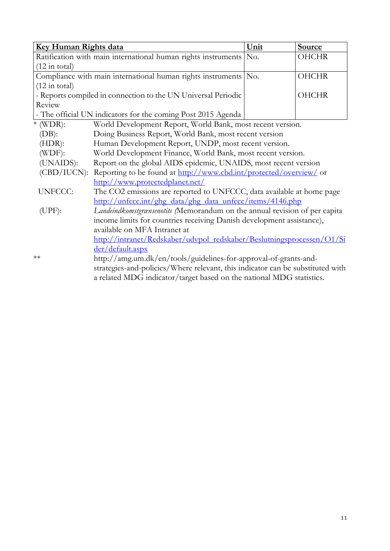| <b>Key Human Rights data</b>                                                   |                                                                                | Unit | <b>Source</b> |  |  |
|--------------------------------------------------------------------------------|--------------------------------------------------------------------------------|------|---------------|--|--|
|                                                                                | Ratification with main international human rights instruments                  | No.  | <b>OHCHR</b>  |  |  |
| $(12 \text{ in total})$                                                        |                                                                                |      |               |  |  |
|                                                                                | Compliance with main international human rights instruments No.                |      | <b>OHCHR</b>  |  |  |
| $(12 \text{ in total})$                                                        |                                                                                |      |               |  |  |
|                                                                                | - Reports compiled in connection to the UN Universal Periodic                  |      | <b>OHCHR</b>  |  |  |
| Review                                                                         |                                                                                |      |               |  |  |
|                                                                                | - The official UN indicators for the coming Post 2015 Agenda                   |      |               |  |  |
| $*$ (WDR):                                                                     | World Development Report, World Bank, most recent version.                     |      |               |  |  |
| Doing Business Report, World Bank, most recent version<br>$(DB)$ :             |                                                                                |      |               |  |  |
| $(HDR)$ :<br>Human Development Report, UNDP, most recent version.              |                                                                                |      |               |  |  |
| (WDF):<br>World Development Finance, World Bank, most recent version.          |                                                                                |      |               |  |  |
| (UNAIDS):<br>Report on the global AIDS epidemic, UNAIDS, most recent version   |                                                                                |      |               |  |  |
| (CBD/IUCN): Reporting to be found at http://www.cbd.int/protected/overview/ or |                                                                                |      |               |  |  |
|                                                                                | http://www.protectedplanet.net/                                                |      |               |  |  |
| <b>UNFCCC:</b>                                                                 | The CO2 emissions are reported to UNFCCC, data available at home page          |      |               |  |  |
|                                                                                | http://unfccc.int/ghg_data/ghg_data_unfccc/items/4146.php                      |      |               |  |  |
| $(UPF)$ :                                                                      | Landeindkomstgransenotits (Memorandum on the annual revision of per capita     |      |               |  |  |
|                                                                                | income limits for countries receiving Danish development assistance),          |      |               |  |  |
|                                                                                | available on MFA Intranet at                                                   |      |               |  |  |
|                                                                                | http://intranet/Redskaber/udvpol_redskaber/Beslutningsprocessen/O1/Si          |      |               |  |  |
|                                                                                | der/default.aspx                                                               |      |               |  |  |
| $**$                                                                           | http://amg.um.dk/en/tools/guidelines-for-approval-of-grants-and-               |      |               |  |  |
|                                                                                | strategies-and-policies/Where relevant, this indicator can be substituted with |      |               |  |  |
|                                                                                | a related MDG indicator/target based on the national MDG statistics.           |      |               |  |  |